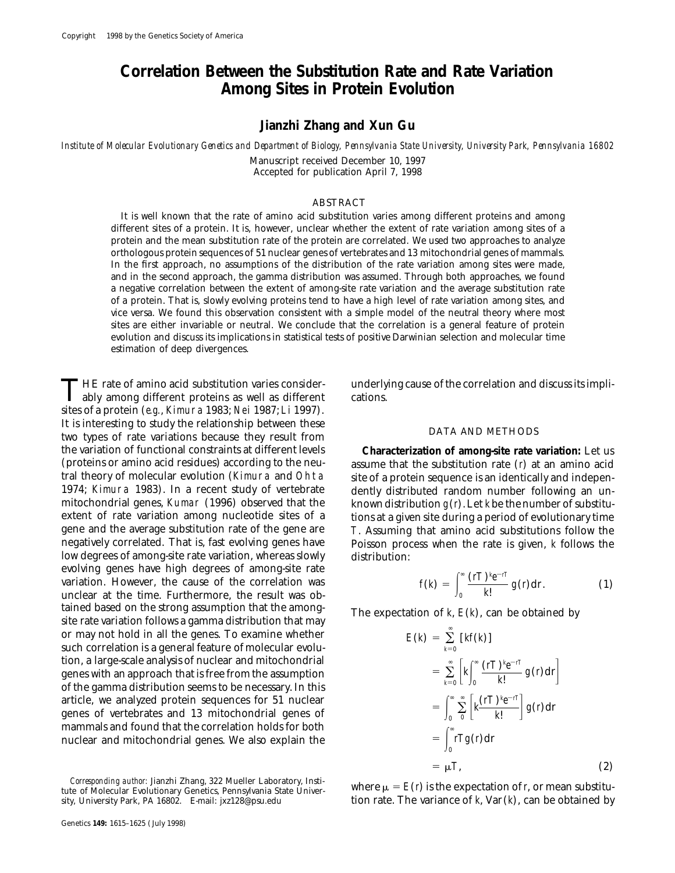# **Correlation Between the Substitution Rate and Rate Variation Among Sites in Protein Evolution**

## **Jianzhi Zhang and Xun Gu**

*Institute of Molecular Evolutionary Genetics and Department of Biology, Pennsylvania State University, University Park, Pennsylvania 16802* Manuscript received December 10, 1997 Accepted for publication April 7, 1998

### ABSTRACT

It is well known that the rate of amino acid substitution varies among different proteins and among different sites of a protein. It is, however, unclear whether the extent of rate variation among sites of a protein and the mean substitution rate of the protein are correlated. We used two approaches to analyze orthologous protein sequences of 51 nuclear genes of vertebrates and 13 mitochondrial genes of mammals. In the first approach, no assumptions of the distribution of the rate variation among sites were made, and in the second approach, the gamma distribution was assumed. Through both approaches, we found a negative correlation between the extent of among-site rate variation and the average substitution rate of a protein. That is, slowly evolving proteins tend to have a high level of rate variation among sites, and vice versa. We found this observation consistent with a simple model of the neutral theory where most sites are either invariable or neutral. We conclude that the correlation is a general feature of protein evolution and discuss its implications in statistical tests of positive Darwinian selection and molecular time estimation of deep divergences.

THE rate of amino acid substitution varies consider-<br>ably among different proteins as well as different cations.<br> $\frac{1000 \text{ N}}{2} \times 1007 \text{ N} \times 1007$ sites of a protein (*e.g.*, Kimura 1983; Nei 1987; Li 1997).<br>It is interesting to study the relationship between these It is interesting to study the relationship between these DATA AND METHODS<br>two types of rate variations because they result from<br>**Characterization of among-site rate v**<br>**Characterization of among-site rate v** (proteins or amino acid residues) according to the neu- assume that the substitution rate (*r*) at an amino acid tral theory of molecular evolution (Kimura and Ohta site of a protein sequence is an identically and indepen-1974; Kimura 1983). In a recent study of vertebrate dently distributed random number following an un-<br>mitochondrial genes, Kumar (1996) observed that the known distribution  $g(t)$ . Let kbe the number of substitumitochondrial genes, Kumar (1996) observed that the known distribution  $g(t)$ . Let *k* be the number of substitu-<br>extent of rate variation among nucleotide sites of a tions at a given site during a period of evolutionary t extent of rate variation among nucleotide sites of a tions at a given site during a period of evolutionary time<br>gene and the average substitution rate of the gene are  $\tau$ . Assuming that amino acid substitutions follow th gene and the average substitution rate of the gene are *T*. Assuming that amino acid substitutions follow the low degrees of among-site rate variation, whereas slowly distribution: evolving genes have high degrees of among-site rate variation. However, the cause of the correlation was unclear at the time. Furthermore, the result was obtained based on the strong assumption that the among-<br>site rate variation follows a gamma distribution that may<br> $\sum_{n=1}^{\infty}$  The expectation of *k*,  $E(k)$ , can be obtained by or may not hold in all the genes. To examine whether such correlation is a general feature of molecular evolution, a large-scale analysis of nuclear and mitochondrial genes with an approach that is free from the assumption of the gamma distribution seems to be necessary. In this article, we analyzed protein sequences for 51 nuclear  $\int_0^\infty \sum_{n=0}^\infty \left[ k \frac{(rT)^k e^{-rt}}{k!} \right] g(r) dr$ mammals and found that the correlation holds for both nuclear and mitochondrial genes. We also explain the

**Characterization of among-site rate variation:** Let us Poisson process when the rate is given, *k* follows the

$$
f(k) = \int_0^\infty \frac{(rT)^k e^{-rT}}{k!} g(r) dr.
$$
 (1)

$$
E(k) = \sum_{k=0}^{\infty} [kf(k)]
$$
  
\n
$$
= \sum_{k=0}^{\infty} \left[ k \int_{0}^{\infty} \frac{(rT)^{k}e^{-rT}}{k!} g(r) dr \right]
$$
  
\n
$$
= \int_{0}^{\infty} \sum_{0}^{\infty} \left[ k \frac{(rT)^{k}e^{-rT}}{k!} g(r) dr \right]
$$
  
\n
$$
= \int_{0}^{\infty} rTg(r) dr
$$
  
\n
$$
= \mu T, \qquad (2)
$$

tion rate. The variance of  $k$ , Var $(k)$ , can be obtained by

*Corresponding author:* Jianzhi Zhang, 322 Mueller Laboratory, Insti-<br>tute of Molecular Evolutionary Genetics, Pennsylvania State Univer-<br>sity, University Park, PA 16802. E-mail: jxz128@psu.edu<br>**tion rate. The variance of**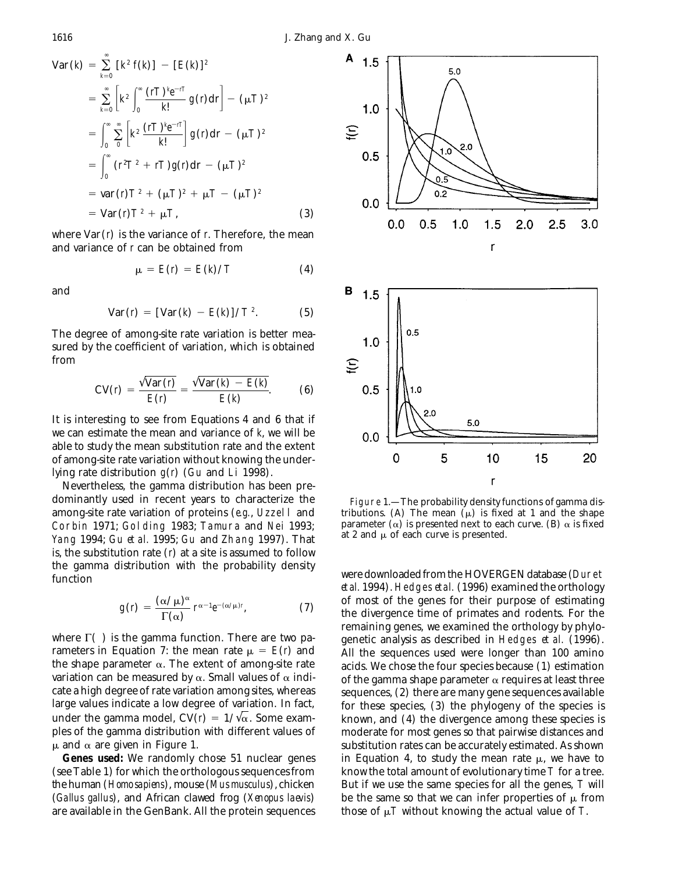$$
\text{Var} \left( k \right) = \sum_{k=0}^{\infty} \left[ k^2 f(k) \right] - \left[ E(k) \right]^2
$$
\n
$$
= \sum_{k=0}^{\infty} \left[ k^2 \int_0^{\infty} \frac{(rT)^k e^{-rT}}{k!} g(r) dr \right] - (\mu T)^2
$$
\n
$$
= \int_0^{\infty} \sum_{k=0}^{\infty} \left[ k^2 \frac{(rT)^k e^{-rT}}{k!} \right] g(r) dr - (\mu T)^2
$$
\n
$$
= \int_0^{\infty} (r^2 T^2 + rT) g(r) dr - (\mu T)^2
$$
\n
$$
= \text{var} \left( r \right) T^2 + (\mu T)^2 + \mu T - (\mu T)^2
$$
\n
$$
= \text{Var} \left( r \right) T^2 + \mu T, \tag{3}
$$

where Var(*r*) is the variance of *r*. Therefore, the mean and variance of *r* can be obtained from

$$
\mu = E(r) = E(k)/T \tag{4}
$$

and

$$
Var(r) = [Var(k) - E(k)]/T^{2}.
$$
 (5)

The degree of among-site rate variation is better measured by the coefficient of variation, which is obtained from

$$
CV(r) = \frac{\sqrt{Var(r)}}{E(r)} = \frac{\sqrt{Var(k) - E(k)}}{E(k)}.
$$
 (6)

It is interesting to see from Equations 4 and 6 that if we can estimate the mean and variance of *k*, we will be able to study the mean substitution rate and the extent of among-site rate variation without knowing the underlying rate distribution *g*(*r*) (Gu and Li 1998).

Nevertheless, the gamma distribution has been predominantly used in recent years to characterize the Figure 1.—The probability density functions of gamma disamong-site rate variation of proteins (*e.g.*, Uzzell and tributions. (A) The mean ( $\mu$ ) is fixed at 1 and the shape<br>Corbin 1971: Golding 1983: Tamura and Nei 1993: parameter ( $\alpha$ ) is presented next to each curve. (B) Corbin 1971; Golding 1983; Tamura and Nei 1993; parameter  $(\alpha)$  is presented next to each curve. (B) and  $\alpha$  is fixed in the vector of Theory 1007). That at 2 and  $\mu$  of each curve is presented. Yang 1994; Gu et al. 1995; Gu and Zhang 1997). That is, the substitution rate (*r*) at a site is assumed to follow the gamma distribution with the probability density were downloaded from the HOVERGEN database (Duret function

$$
g(r) = \frac{(\alpha/\mu)^{\alpha}}{\Gamma(\alpha)} r^{\alpha-1} e^{-(\alpha/\mu)r}, \qquad (7)
$$

are available in the GenBank. All the protein sequences those of  $\mu$ *T* without knowing the actual value of *T*.



*et al.* 1994). Hedges *et al.* (1996) examined the orthology of most of the genes for their purpose of estimating the divergence time of primates and rodents. For the remaining genes, we examined the orthology by phylowhere  $\Gamma$ ( ) is the gamma function. There are two pa-<br>rameters in Equation 7: the mean rate  $\mu = E(r)$  and all the sequences used were longer than 100 amino rameters in Equation 7: the mean rate  $\mu = E(r)$  and All the sequences used were longer than 100 amino<br>the shape parameter  $\alpha$ . The extent of among-site rate acids. We chose the four species because (1) estimation acids. We chose the four species because (1) estimation variation can be measured by  $\alpha$ . Small values of  $\alpha$  indi-<br>cate a high degree of rate variation among sites, whereas sequences. (2) there are many gene sequences available cate a high degree of rate variation among sites, whereas sequences, (2) there are many gene sequences available<br>large values indicate a low degree of variation. In fact, sequences, (3) the phylogeny of the species is large values indicate a low degree of variation. In fact, for these species, (3) the phylogeny of the species is under the gamma model,  $CV(r) = 1/\sqrt{\alpha}$ . Some exam-<br>known, and (4) the divergence among these species is under the gamma model,  $CV(r) = 1/\sqrt{\alpha}$ . Some exam-<br>ples of the gamma distribution with different values of moderate for most genes so that pairwise distances and ples of the gamma distribution with different values of moderate for most genes so that pairwise distances and  $\mu$  and  $\alpha$  are given in Figure 1. substitution rates can be accurately estimated. As shown **Genes used:** We randomly chose 51 nuclear genes in Equation 4, to study the mean rate  $\mu$ , we have to (see Table 1) for which the orthologous sequences from know the total amount of evolutionary time *T* for a tree. the human (*Homo sapiens*), mouse (*Mus musculus*), chicken But if we use the same species for all the genes, *T* will (*Gallus gallus*), and African clawed frog (*Xenopus laevis*) be the same so that we can infer properties of  $\mu$  from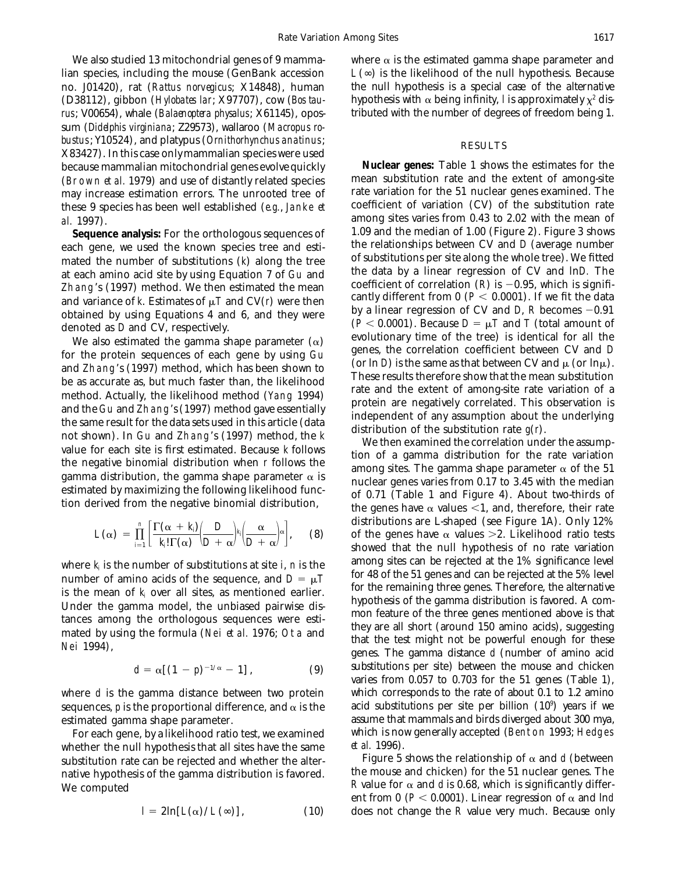lian species, including the mouse (GenBank accession  $L(\infty)$  is the likelihood of the null hypothesis. Because (D38112), gibbon (*Hylobates lar*; X97707), cow (*Bos tau*- disprehis with  $\alpha$  being infinity, *l* is approximately  $\chi^2$  dis*rus*; V00654), whale (*Balaenoptera physalus*; X61145), opos- tributed with the number of degrees of freedom being 1. sum (*Didelphis virginiana*; Z29573), wallaroo (*Macropus robustus*; Y10524), and platypus (*Ornithorhynchus anatinus*;<br>
X83427). In this case only mammalian species were used<br>
because mammalian mitochondrial genes evolve quickly **Nuclear genes:** Table 1 shows the estimates for th because mammalian mitochondrial genes evolve quickly **Nuclear genes:** Table 1 shows the estimates for the (Brown *et al.* 1979) and use of distantly related species mean substitution rate and the extent of among-site may increase estimation errors. The unrooted tree of rate variation for the 51 nuclear genes examined. The may increase estimation errors. The unrooted tree of these 9 species has been well established (*e.g.*, Janke *et* coefficient of variation (CV) of the substitution rate

each gene, we used the known species tree and esti-<br>mated the number of substitutions (b) along the tree of substitutions per site along the whole tree). We fitted mated the number of substitutions (k) along the tree of substitutions per site along the whole tree). We fitted<br>at each amino acid site by using Equation 7 of Gu and the data by a linear regression of CV and  $\ln D$ . The<br>Th

$$
L(\alpha) = \prod_{i=1}^n \left[ \frac{\Gamma(\alpha + k_i)}{k_i! \Gamma(\alpha)} \left( \frac{D}{D + \alpha} \right)^{k_i} \left( \frac{\alpha}{D + \alpha} \right)^{\alpha} \right], \quad (8)
$$

for 48 of the sequence, and  $D = \mu T$  for 48 of the 51 genes and can be rejected at the 5% level<br>is the mean of k over all sites, as montioned sortion

$$
d = \alpha \left[ (1-p)^{-1/\alpha} - 1 \right], \tag{9}
$$

sequences,  $p$  is the proportional difference, and  $\alpha$  is the estimated gamma shape parameter. and assume that mammals and birds diverged about 300 mya,

whether the null hypothesis that all sites have the same  $\frac{et \, al. \, 1996}{\text{Figure 5}}$ .<br>substitution rate can be rejected and whether the alter-**Figure 5** shows the relationship of  $\alpha$  and  $d$  (between substitution rate can be rejected and whether the alter-<br>native hypothesis of the gamma distribution is favored. The mouse and chicken) for the 51 nuclear genes. The native hypothesis of the gamma distribution is favored. We computed *R* value for  $\alpha$  and *d* is 0.68, which is significantly differ-

$$
I = 2\ln[L(\alpha)/L(\infty)], \qquad (10)
$$

We also studied 13 mitochondrial genes of 9 mamma-<br>where  $\alpha$  is the estimated gamma shape parameter and no. J01420), rat (*Rattus norvegicus*; X14848), human the null hypothesis is a special case of the alternative

al. 1997).<br>**Sequence analysis:** For the orthologous sequences of 1.09 and the median of 1.00 (Figure 2). Figure 3 shows **Sequence analysis:** For the orthologous sequences of l.09 and the median of 1.00 (Figure 2). Figure 3 shows chapter of shows chapter of the known species tree and esti-<br>chapter elationships between CV and D (average numbe Zhang's (1997) method. We then estimated the mean<br>
and variance of *k*. Estimates of  $\mu$  *T* and CV(*r*) were then<br>
obtained by using Figurent from 0 (*P*< 0.0001). If we fit the data<br>
obtained by summa expectively than

distribution, the gamma shape parameter  $\alpha$  is<br>estimated by maximizing the following likelihood function.<br>tion derived from the negative binomial distribution,<br>the genes have  $\alpha$  values <1, and, therefore, their rate distributions are L-shaped (see Figure 1A). Only 12% of the genes have  $\alpha$  values  $>2$ . Likelihood ratio tests showed that the null hypothesis of no rate variation where  $k_i$  is the number of substitutions at site *i*, *n* is the among sites can be rejected at the 1% significance level<br>number of amino acids of the sequence and  $D = uT$  for 48 of the 51 genes and can be rejected at the is the mean of  $k_i$  over all sites, as mentioned earlier.<br>
Under the gamma model, the unbiased pairwise dis-<br>
tances among the orthologous sequences were esti-<br>
mated by using the formula (Nei *et al.* 1976; Ota and<br>
Nei substitutions per site) between the mouse and chicken varies from 0.057 to 0.703 for the 51 genes (Table 1), where *d* is the gamma distance between two protein which corresponds to the rate of about 0.1 to 1.2 amino sequences, *p* is the proportional difference, and  $\alpha$  is the acid substitutions per site per billion (10<sup>9</sup>) ye For each gene, by a likelihood ratio test, we examined which is now generally accepted (Benton 1993; Hedges reference of al. 1996).

> ent from 0 ( $P < 0.0001$ ). Linear regression of  $\alpha$  and lnd *does* not change the *R* value very much. Because only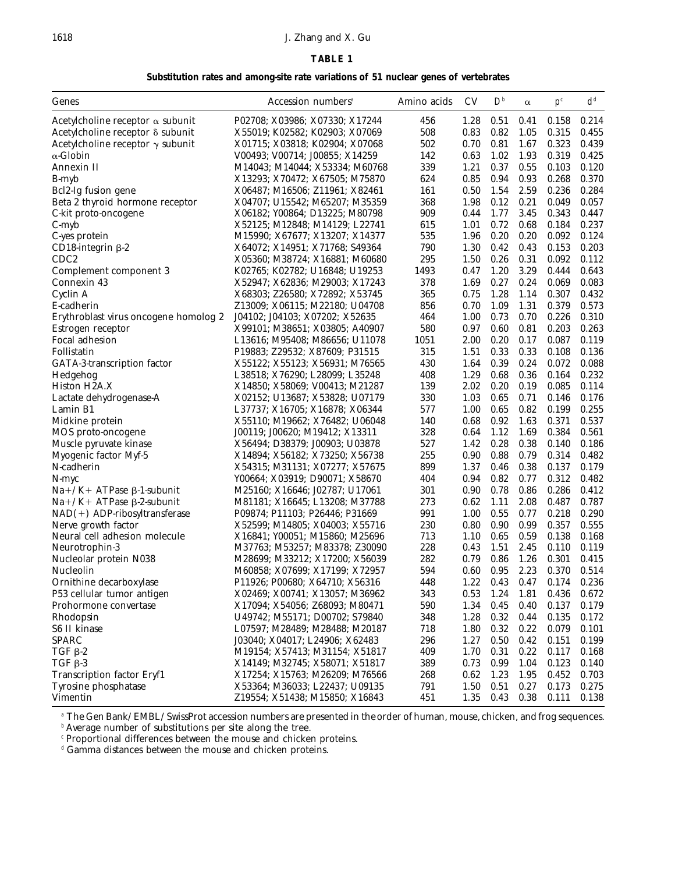### 1618 J. Zhang and X. Gu

### **TABLE 1**

**Substitution rates and among-site rate variations of 51 nuclear genes of vertebrates**

| Genes                                   | Accession numbers <sup>a</sup>                                   | Amino acids | CV           | $D^b$        | $\alpha$     | $p^{c}$        | $d^d$          |
|-----------------------------------------|------------------------------------------------------------------|-------------|--------------|--------------|--------------|----------------|----------------|
| Acetylcholine receptor $\alpha$ subunit | P02708; X03986; X07330; X17244                                   | 456         | 1.28         | 0.51         | 0.41         | 0.158          | 0.214          |
| Acetylcholine receptor δ subunit        | X55019; K02582; K02903; X07069                                   | 508         | 0.83         | 0.82         | 1.05         | 0.315          | 0.455          |
| Acetylcholine receptor $\gamma$ subunit | X01715; X03818; K02904; X07068                                   | 502         | 0.70         | 0.81         | 1.67         | 0.323          | 0.439          |
| $\alpha$ -Globin                        | V00493; V00714; J00855; X14259                                   | 142         | 0.63         | 1.02         | 1.93         | 0.319          | 0.425          |
| Annexin II                              | M14043; M14044; X53334; M60768                                   | 339         | 1.21         | 0.37         | 0.55         | 0.103          | 0.120          |
| B-myb                                   | X13293; X70472; X67505; M75870                                   | 624         | 0.85         | 0.94         | 0.93         | 0.268          | 0.370          |
| Bcl2-Ig fusion gene                     | X06487; M16506; Z11961; X82461                                   | 161         | 0.50         | 1.54         | 2.59         | 0.236          | 0.284          |
| Beta 2 thyroid hormone receptor         | X04707; U15542; M65207; M35359                                   | 368         | 1.98         | 0.12         | 0.21         | 0.049          | 0.057          |
| C-kit proto-oncogene                    | X06182; Y00864; D13225; M80798                                   | 909         | 0.44         | 1.77         | 3.45         | 0.343          | 0.447          |
| $C$ -myb                                | X52125; M12848; M14129; L22741                                   | 615         | 1.01         | 0.72         | 0.68         | 0.184          | 0.237          |
| C-yes protein                           | M15990; X67677; X13207; X14377                                   | 535         | 1.96         | 0.20         | 0.20         | 0.092          | 0.124          |
| $CD18$ -integrin $\beta$ -2             | X64072; X14951; X71768; S49364                                   | 790         | 1.30         | 0.42         | 0.43         | 0.153          | 0.203          |
| CDC <sub>2</sub>                        | X05360; M38724; X16881; M60680                                   | 295         | 1.50         | 0.26         | 0.31         | 0.092          | 0.112          |
| Complement component 3                  | K02765; K02782; U16848; U19253                                   | 1493        | 0.47         | 1.20         | 3.29         | 0.444          | 0.643          |
| Connexin 43                             | X52947; X62836; M29003; X17243                                   | 378         | 1.69         | 0.27         | 0.24         | 0.069          | 0.083          |
| Cyclin A                                | X68303; Z26580; X72892; X53745                                   | 365         | 0.75         | 1.28         | 1.14         | 0.307          | 0.432          |
| E-cadherin                              | Z13009; X06115; M22180; U04708                                   | 856         | 0.70         | 1.09         | 1.31         | 0.379          | 0.573          |
| Erythroblast virus oncogene homolog 2   | J04102; J04103; X07202; X52635                                   | 464         | 1.00         | 0.73         | 0.70         | 0.226          | 0.310          |
| Estrogen receptor                       | X99101; M38651; X03805; A40907                                   | 580         | 0.97         | 0.60         | 0.81         | 0.203          | 0.263          |
| Focal adhesion                          | L13616; M95408; M86656; U11078                                   | 1051        | 2.00         | 0.20         | 0.17         | 0.087          | 0.119          |
| Follistatin                             | P19883; Z29532; X87609; P31515                                   | 315         | 1.51         | 0.33         | 0.33         | 0.108          | 0.136          |
| GATA-3-transcription factor             | X55122; X55123; X56931; M76565                                   | 430         | 1.64         | 0.39         | 0.24         | 0.072          | 0.088          |
| Hedgehog                                | L38518; X76290; L28099; L35248                                   | 408         | 1.29         | 0.68         | 0.36         | 0.164          | 0.232          |
| Histon H2A.X                            | X14850; X58069; V00413; M21287                                   | 139         | 2.02         | 0.20         | 0.19         | 0.085          | 0.114          |
| Lactate dehydrogenase-A                 | X02152; U13687; X53828; U07179                                   | 330         | 1.03         | 0.65         | 0.71         | 0.146          | 0.176          |
| Lamin B1                                | L37737; X16705; X16878; X06344                                   | 577         | 1.00         | 0.65         | 0.82         | 0.199          | 0.255          |
| Midkine protein                         | X55110; M19662; X76482; U06048                                   | 140         | 0.68         | 0.92         | 1.63         | 0.371          | 0.537          |
| MOS proto-oncogene                      | J00119; J00620; M19412; X13311                                   | 328         | 0.64         | 1.12         | 1.69         | 0.384          | 0.561          |
| Muscle pyruvate kinase                  | X56494; D38379; J00903; U03878                                   | 527         | 1.42         | 0.28         | 0.38         | 0.140          | 0.186          |
| Myogenic factor Myf-5                   | X14894; X56182; X73250; X56738                                   | 255         | 0.90         | 0.88         | 0.79         | 0.314          | 0.482          |
| N-cadherin                              | X54315; M31131; X07277; X57675                                   | 899         | 1.37         | 0.46         | 0.38         | 0.137          | 0.179          |
| N-myc                                   | Y00664; X03919; D90071; X58670                                   | 404         | 0.94         | 0.82         | 0.77         | 0.312          | 0.482          |
| $Na+ / K+ATPase \beta-1$ -subunit       | M25160; X16646; J02787; U17061                                   | 301         | 0.90         | 0.78         | 0.86         | 0.286          | 0.412          |
| $Na+ / K+ATPase \beta-2-subunit$        | M81181; X16645; L13208; M37788                                   | 273         | 0.62         | 1.11         | 2.08         | 0.487          | 0.787          |
| $NAD(+)$ ADP-ribosyltransferase         | P09874; P11103; P26446; P31669                                   | 991         | 1.00         | 0.55         | 0.77         | 0.218          | 0.290          |
| Nerve growth factor                     | X52599; M14805; X04003; X55716                                   | 230         | 0.80         | 0.90         | 0.99         | 0.357          | 0.555          |
| Neural cell adhesion molecule           | X16841; Y00051; M15860; M25696                                   | 713         | 1.10         | 0.65         | 0.59         | 0.138          | 0.168          |
| Neurotrophin-3                          | M37763; M53257; M83378; Z30090                                   | 228         | 0.43         | 1.51         | 2.45         | 0.110          | 0.119          |
| Nucleolar protein N038                  | M28699; M33212; X17200; X56039                                   | 282         | 0.79         | 0.86         | 1.26         | 0.301          | 0.415          |
| Nucleolin                               | M60858; X07699; X17199; X72957                                   | 594         | 0.60         | 0.95         | 2.23         | 0.370          | 0.514          |
| Ornithine decarboxylase                 | P11926; P00680; X64710; X56316                                   | 448         | 1.22         | 0.43         | 0.47         | 0.174          | 0.236          |
| P53 cellular tumor antigen              | X02469; X00741; X13057; M36962                                   | 343         | 0.53         | 1.24         | 1.81         | 0.436          | 0.672          |
| Prohormone convertase                   | X17094; X54056; Z68093; M80471                                   | 590         | 1.34         | 0.45         | 0.40         | 0.137          | 0.179          |
| Rhodopsin                               | U49742; M55171; D00702; S79840                                   | 348         | 1.28         | 0.32         | 0.44         | 0.135          | 0.172          |
| S6 II kinase                            | L07597; M28489; M28488; M20187                                   | 718         | 1.80         | 0.32         | 0.22         | 0.079          | 0.101          |
| <b>SPARC</b>                            |                                                                  | 296         |              |              |              |                |                |
| $TGF$ $\beta$ -2                        | J03040; X04017; L24906; X62483<br>M19154; X57413; M31154; X51817 | 409         | 1.27<br>1.70 | 0.50<br>0.31 | 0.42<br>0.22 | 0.151<br>0.117 | 0.199<br>0.168 |
| $TGF$ $\beta$ -3                        | X14149; M32745; X58071; X51817                                   | 389         | 0.73         | 0.99         | 1.04         | 0.123          | 0.140          |
| Transcription factor Eryf1              |                                                                  | 268         | 0.62         | 1.23         | 1.95         |                | 0.703          |
| Tyrosine phosphatase                    | X17254; X15763; M26209; M76566                                   | 791         |              | 0.51         | 0.27         | 0.452          |                |
| Vimentin                                | X53364; M36033; L22437; U09135<br>Z19554; X51438; M15850; X16843 | 451         | 1.50<br>1.35 | 0.43         | 0.38         | 0.173<br>0.111 | 0.275<br>0.138 |

*<sup>a</sup>* The Gen Bank/EMBL/SwissProt accession numbers are presented in the order of human, mouse, chicken, and frog sequences.

*<sup>b</sup>* Average number of substitutions per site along the tree.

*<sup>c</sup>* Proportional differences between the mouse and chicken proteins.

*<sup>d</sup>* Gamma distances between the mouse and chicken proteins.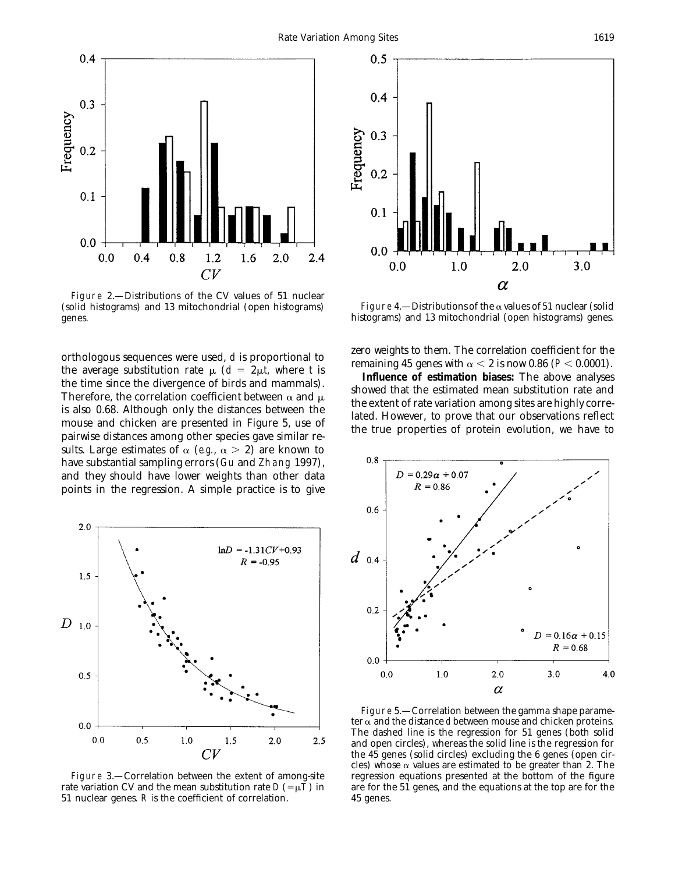

Figure 2.—Distributions of the CV values of 51 nuclear (solid histograms) and 13 mitochondrial (open histograms) Figure 4.—Distributions of the a values of 51 nuclear (solid genes. histograms) and 13 mitochondrial (open histograms) genes.

orthologous sequences were used, *d* is proportional to<br>the average substitution rate μ ( $d = 2μ$ , where *t* is<br>the time since the divergence of birds and mammals).<br>Therefore, the correlation coefficient between  $\alpha$  and sults. Large estimates of  $\alpha$  (*e.g.*,  $\alpha > 2$ ) are known to have substantial sampling errors (Gu and Zhang 1997), and they should have lower weights than other data points in the regression. A simple practice is to give



Figure 3.—Correlation between the extent of among-site rate variation CV and the mean substitution rate  $D (= \mu T)$  in are for the 51 genes, and the equations at the top are for the 51 nuclear genes. *R* is the coefficient of correlation. 45 genes.





Figure 5.—Correlation between the gamma shape parameter  $\alpha$  and the distance *d* between mouse and chicken proteins. The dashed line is the regression for 51 genes (both solid and open circles), whereas the solid line is the regression for the 45 genes (solid circles) excluding the 6 genes (open circles) whose  $\alpha$  values are estimated to be greater than 2. The regression equations presented at the bottom of the figure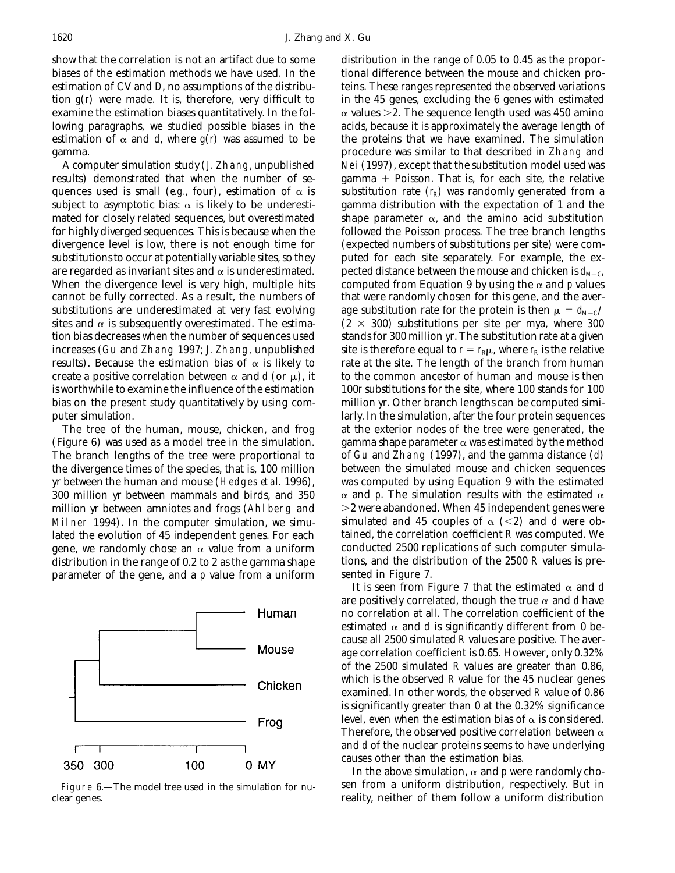biases of the estimation methods we have used. In the tional difference between the mouse and chicken proestimation of CV and *D*, no assumptions of the distribu-<br>teins. These ranges represented the observed variations tion  $g(t)$  were made. It is, therefore, very difficult to in the 45 genes, excluding the 6 genes with estimated examine the estimation biases quantitatively. In the fol-  $\alpha$  values  $>$ 2. The sequence length used was 450 amino lowing paragraphs, we studied possible biases in the acids, because it is approximately the average length of estimation of  $\alpha$  and *d*, where  $g(r)$  was assumed to be the proteins that we have examined. The simulation gamma. procedure was similar to that described in Zhang and

results) demonstrated that when the number of se-<br>gamma + Poisson. That is, for each site, the relative quences used is small (*e.g.*, four), estimation of  $\alpha$  is substitution rate ( $r_R$ ) was randomly generated from a subject to asymptotic bias:  $\alpha$  is likely to be underesti- gamma distribution with the expectation of 1 and the mated for closely related sequences, but overestimated shape parameter  $\alpha$ , and the amino acid substitution for highly diverged sequences. This is because when the followed the Poisson process. The tree branch lengths divergence level is low, there is not enough time for (expected numbers of substitutions per site) were comsubstitutions to occur at potentially variable sites, so they puted for each site separately. For example, the exare regarded as invariant sites and  $\alpha$  is underestimated. pected distance between the mouse and chicken is  $d_{M-C}$ , When the divergence level is very high, multiple hits computed from Equation 9 by using the  $\alpha$  and  $p$  values cannot be fully corrected. As a result, the numbers of that were randomly chosen for this gene, and the aversubstitutions are underestimated at very fast evolving age substitution rate for the protein is then  $\mu = d_{M-C}/$ sites and  $\alpha$  is subsequently overestimated. The estima-  $(2 \times 300)$  substitutions per site per mya, where 300 tion bias decreases when the number of sequences used stands for 300 million yr. The substitution rate at a given increases (Gu and Zhang 1997; J. Zhang, unpublished site is therefore equal to  $r = r_R \mu$ , where  $r_R$  is the relative results). Because the estimation bias of  $\alpha$  is likely to rate at the site. The length of the branch from human create a positive correlation between  $\alpha$  and *d* (or  $\mu$ ), it to the common ancestor of human and mouse is then is worthwhile to examine the influence of the estimation 100*r* substitutions for the site, where 100 stands for 100 bias on the present study quantitatively by using com- million yr. Other branch lengths can be computed simiputer simulation. larly. In the simulation, after the four protein sequences

The branch lengths of the tree were proportional to of Gu and Zhang (1997), and the gamma distance (*d*) lated the evolution of 45 independent genes. For each tained, the correlation coefficient *R* was computed. We gene, we randomly chose an  $\alpha$  value from a uniform conducted 2500 replications of such computer simulagene, we randomly chose an  $\alpha$  value from a uniform distribution in the range of 0.2 to 2 as the gamma shape tions, and the distribution of the 2500 *R* values is pre-<br>parameter of the gene, and a *p* value from a uniform sented in Figure 7. parameter of the gene, and a  $p$  value from a uniform



clear genes. reality, neither of them follow a uniform distribution

show that the correlation is not an artifact due to some distribution in the range of 0.05 to 0.45 as the propor-A computer simulation study (J. Zhang, unpublished Nei (1997), except that the substitution model used was The tree of the human, mouse, chicken, and frog at the exterior nodes of the tree were generated, the (Figure 6) was used as a model tree in the simulation. gamma shape parameter  $\alpha$  was estimated by the method the divergence times of the species, that is, 100 million between the simulated mouse and chicken sequences yr between the human and mouse (Hedges *et al.* 1996), was computed by using Equation 9 with the estimated 300 million yr between mammals and birds, and 350  $\alpha$  and p. The simulation results with the estimated  $\alpha$ million yr between amniotes and frogs (Ahlberg and  $\geq$  2 were abandoned. When 45 independent genes were Milner 1994). In the computer simulation, we simu-<br>lated the evolution of 45 independent genes. For each tained, the correlation coefficient R was computed. We

> It is seen from Figure 7 that the estimated  $\alpha$  and  $d$ are positively correlated, though the true  $\alpha$  and *d* have no correlation at all. The correlation coefficient of the estimated  $\alpha$  and *d* is significantly different from 0 because all 2500 simulated *R* values are positive. The average correlation coefficient is 0.65. However, only 0.32% of the 2500 simulated *R* values are greater than 0.86, which is the observed *R* value for the 45 nuclear genes examined. In other words, the observed *R* value of 0.86 is significantly greater than 0 at the 0.32% significance level, even when the estimation bias of  $\alpha$  is considered. Therefore, the observed positive correlation between  $\alpha$ and *d* of the nuclear proteins seems to have underlying causes other than the estimation bias.

In the above simulation,  $\alpha$  and *p* were randomly cho-Figure 6.—The model tree used in the simulation for nu-<br>sen from a uniform distribution, respectively. But in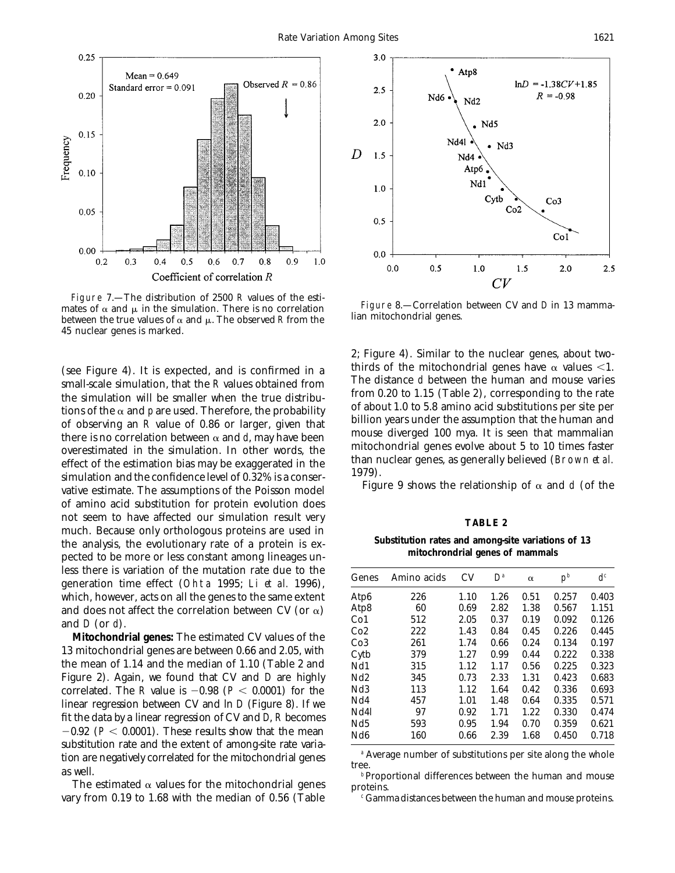

Figure 7.—The distribution of 2500 *R* values of the estimates of  $\alpha$  and  $\mu$  in the simulation. There is no correlation lian mitochondrial genes.<br>between the true values of  $\alpha$  and  $\mu$ . The observed *R* from the lian mitochondrial genes. 45 nuclear genes is marked.

from 0.20 to 1.15 (Table 2), corresponding to the rate<br>tions of the simulation will be smaller when the true distribu-<br>of about 1.0 to 5.8 amino acid substitutions per site per tions of the  $\alpha$  and  $p$  are used. Therefore, the probability<br>of about 1.0 to 5.8 amino acid substitutions per site per<br>of observing an  $R$  value of 0.86 or larger, given that<br>there is no correlation between  $\alpha$  and  $d$ simulation and the confidence level of 0.32% is a conser-<br>vative estimate. The assumptions of the Poisson model Figure 9 shows the relationship of  $\alpha$  and *d* (of the of amino acid substitution for protein evolution does not seem to have affected our simulation result very **TABLE 2**<br>much. Because only orthologous proteins are used in the analysis, the evolutionary rate of a protein is expected to be more or less constant among lineages un-<br>mitochrondrial genes of mammals less there is variation of the mutation rate due to the generation time effect (Ohta 1995; Li *et al.* 1996), which, however, acts on all the genes to the same extent and does not affect the correlation between CV (or  $\alpha$ )<br>and *D* (or *d*).<br>**Mitochondrial genes:** The estimated CV values of the

13 mitochondrial genes are between 0.66 and 2.05, with the mean of  $1.14$  and the median of  $1.10$  (Table 2 and Figure 2). Again, we found that CV and *D* are highly correlated. The *R* value is  $-0.98$  ( $P < 0.0001$ ) for the linear regression between CV and ln *D* (Figure 8). If we fit the data by a linear regression of CV and *D*, *R* becomes  $-0.92$  ( $P < 0.0001$ ). These results show that the mean substitution rate and the extent of amongsit tion are negatively correlated for the mitochondrial genes<br>as well.<br>The estimated  $\alpha$  values for the mitochondrial genes<br>The estimated  $\alpha$  values for the mitochondrial genes<br>proteins.

vary from 0.19 to 1.68 with the median of 0.56 (Table <sup>c</sup> Gamma distances between the human and mouse proteins.



2; Figure 4). Similar to the nuclear genes, about two-(see Figure 4). It is expected, and is confirmed in a thirds of the mitochondrial genes have  $\alpha$  values <1. small-scale simulation, that the *R* values obtained from The distance *d* between the human and mouse varies

| Genes           | Amino acids | CV   | $D^a$ | $\alpha$ | $p^b$ | d <sup>c</sup> |
|-----------------|-------------|------|-------|----------|-------|----------------|
| Atp6            | 226         | 1.10 | 1.26  | 0.51     | 0.257 | 0.403          |
| Atp8            | 60          | 0.69 | 2.82  | 1.38     | 0.567 | 1.151          |
| Co <sub>1</sub> | 512         | 2.05 | 0.37  | 0.19     | 0.092 | 0.126          |
| Co2             | 222         | 1.43 | 0.84  | 0.45     | 0.226 | 0.445          |
| Co <sub>3</sub> | 261         | 1.74 | 0.66  | 0.24     | 0.134 | 0.197          |
| Cytb            | 379         | 1.27 | 0.99  | 0.44     | 0.222 | 0.338          |
| Nd1             | 315         | 1.12 | 1.17  | 0.56     | 0.225 | 0.323          |
| Nd <sub>2</sub> | 345         | 0.73 | 2.33  | 1.31     | 0.423 | 0.683          |
| Nd <sub>3</sub> | 113         | 1.12 | 1.64  | 0.42     | 0.336 | 0.693          |
| Nd4             | 457         | 1.01 | 1.48  | 0.64     | 0.335 | 0.571          |
| Nd4l            | 97          | 0.92 | 1.71  | 1.22     | 0.330 | 0.474          |
| Nd5             | 593         | 0.95 | 1.94  | 0.70     | 0.359 | 0.621          |
| Nd <sub>6</sub> | 160         | 0.66 | 2.39  | 1.68     | 0.450 | 0.718          |
|                 |             |      |       |          |       |                |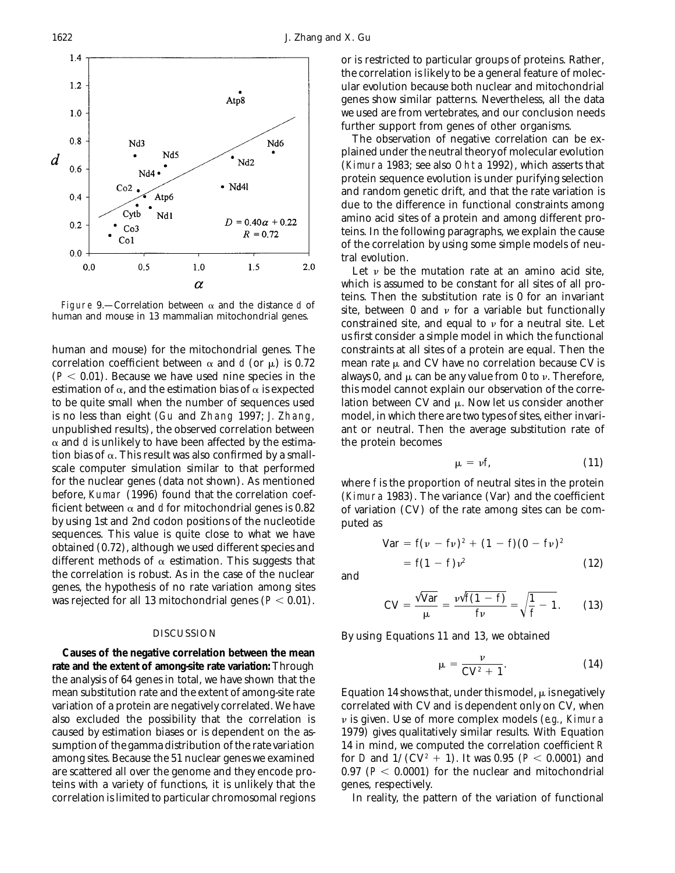

human and mouse) for the mitochondrial genes. The constraints at all sites of a protein are equal. Then the correlation coefficient between  $\alpha$  and *d* (or  $\mu$ ) is 0.72 mean rate  $\mu$  and CV have no correlation because CV is ( $P < 0.01$ ). Because we have used nine species in the always 0, and  $\mu$  can be any value from 0 to v. Therefore, estimation of  $\alpha$ , and the estimation bias of  $\alpha$  is expected this model cannot explain our observation of the correto be quite small when the number of sequences used lation between CV and  $\mu$ . Now let us consider another is no less than eight (Gu and Zhang 1997; J. Zhang, model, in which there are two types of sites, either invariunpublished results), the observed correlation between ant or neutral. Then the average substitution rate of  $\alpha$  and *d* is unlikely to have been affected by the estima-<br>the protein becomes tion bias of  $\alpha$ . This result was also confirmed by a smallscale computer simulation similar to that performed for the nuclear genes (data not shown). As mentioned where *f* is the proportion of neutral sites in the protein before, Kumar (1996) found that the correlation coef-<br>ficient between  $\alpha$  and d for mitochondrial genes is 0.82 for variation (CV) of the rate among sites can be comby using 1st and 2nd codon positions of the nucleotide puted as sequences. This value is quite close to what we have obtained (0.72), although we used different species and different methods of  $\alpha$  estimation. This suggests that  $f(1 - f)v^2$  (12) the correlation is robust. As in the case of the nuclear and genes, the hypothesis of no rate variation among sites was rejected for all 13 mitochondrial genes  $(P < 0.01)$ .

**Causes of the negative correlation between the mean** rate and the extent of among-site rate variation: Through the analysis of 64 genes in total, we have shown that the mean substitution rate and the extent of among-site rate Equation 14 shows that, under this model,  $\mu$  is negatively variation of a protein are negatively correlated. We have correlated with CV and is dependent only on CV, when also excluded the possibility that the correlation is  $v$  is given. Use of more complex models (*e.g.*, Kimura caused by estimation biases or is dependent on the as- 1979) gives qualitatively similar results. With Equation sumption of the gamma distribution of the rate variation 14 in mind, we computed the correlation coefficient *R* among sites. Because the 51 nuclear genes we examined for *D* and  $1/(CV^2 + 1)$ . It was 0.95 ( $P < 0.0001$ ) and are scattered all over the genome and they encode pro- $0.97$  ( $P < 0.0001$ ) for the nuclear and mitochondrial teins with a variety of functions, it is unlikely that the genes, respectively. correlation is limited to particular chromosomal regions In reality, the pattern of the variation of functional

or is restricted to particular groups of proteins. Rather, the correlation is likely to be a general feature of molecular evolution because both nuclear and mitochondrial genes show similar patterns. Nevertheless, all the data we used are from vertebrates, and our conclusion needs further support from genes of other organisms.

The observation of negative correlation can be explained under the neutral theory of molecular evolution (Kimura 1983; see also Ohta 1992), which asserts that protein sequence evolution is under purifying selection and random genetic drift, and that the rate variation is due to the difference in functional constraints among amino acid sites of a protein and among different proteins. In the following paragraphs, we explain the cause of the correlation by using some simple models of neutral evolution.

Let  $\nu$  be the mutation rate at an amino acid site, which is assumed to be constant for all sites of all proteins. Then the substitution rate is 0 for an invariant Figure 9.—Correlation between  $\alpha$  and the distance *d* of site, between 0 and *v* for a variable but functionally constrained site, and equal to *v* for a neutral site. Let us first consider a simple model in which the functional

$$
\mu = \nu f, \tag{11}
$$

of variation (CV) of the rate among sites can be com-

$$
\begin{aligned} \text{Var} &= f(v - fv)^2 + (1 - f)(0 - fv)^2 \\ &= f(1 - f)v^2 \end{aligned} \tag{12}
$$

$$
CV = \frac{\sqrt{Var}}{\mu} = \frac{\nu \sqrt{f(1-f)}}{f\nu} = \sqrt{\frac{1}{f} - 1}.
$$
 (13)

DISCUSSION By using Equations 11 and 13, we obtained

$$
\mu = \frac{\nu}{CV^2 + 1}.
$$
 (14)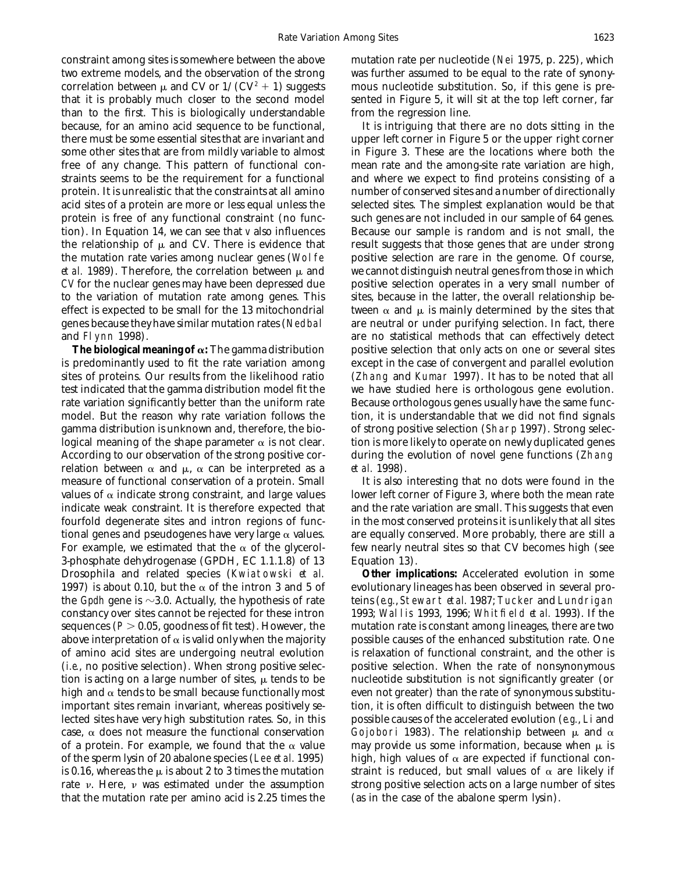constraint among sites is somewhere between the above mutation rate per nucleotide (Nei 1975, p. 225), which two extreme models, and the observation of the strong was further assumed to be equal to the rate of synonycorrelation between  $\mu$  and CV or  $1/(CV^2 + 1)$  suggests mous nucleotide substitution. So, if this gene is prethat it is probably much closer to the second model sented in Figure 5, it will sit at the top left corner, far than to the first. This is biologically understandable from the regression line. because, for an amino acid sequence to be functional, It is intriguing that there are no dots sitting in the there must be some essential sites that are invariant and upper left corner in Figure 5 or the upper right corner some other sites that are from mildly variable to almost in Figure 3. These are the locations where both the free of any change. This pattern of functional con- mean rate and the among-site rate variation are high, straints seems to be the requirement for a functional and where we expect to find proteins consisting of a protein. It is unrealistic that the constraints at all amino number of conserved sites and a number of directionally acid sites of a protein are more or less equal unless the selected sites. The simplest explanation would be that protein is free of any functional constraint (no func- such genes are not included in our sample of 64 genes. tion). In Equation 14, we can see that *v* also influences Because our sample is random and is not small, the the relationship of  $\mu$  and CV. There is evidence that result suggests that those genes that are under strong the mutation rate varies among nuclear genes (Wolfe positive selection are rare in the genome. Of course, *et al.* 1989). Therefore, the correlation between  $\mu$  and we cannot distinguish neutral genes from those in which *CV* for the nuclear genes may have been depressed due positive selection operates in a very small number of to the variation of mutation rate among genes. This sites, because in the latter, the overall relationship beeffect is expected to be small for the 13 mitochondrial tween  $\alpha$  and  $\mu$  is mainly determined by the sites that genes because they have similar mutation rates (Nedbal are neutral or under purifying selection. In fact, there and Flynn 1998). are no statistical methods that can effectively detect

is predominantly used to fit the rate variation among except in the case of convergent and parallel evolution sites of proteins. Our results from the likelihood ratio (Zhang and Kumar 1997). It has to be noted that all test indicated that the gamma distribution model fit the we have studied here is orthologous gene evolution. rate variation significantly better than the uniform rate Because orthologous genes usually have the same funcmodel. But the reason why rate variation follows the tion, it is understandable that we did not find signals gamma distribution is unknown and, therefore, the bio- of strong positive selection (Sharp 1997). Strong seleclogical meaning of the shape parameter  $\alpha$  is not clear. tion is more likely to operate on newly duplicated genes According to our observation of the strong positive cor- during the evolution of novel gene functions (Zhang relation between  $\alpha$  and  $\mu$ ,  $\alpha$  can be interpreted as a *et al.* 1998). measure of functional conservation of a protein. Small It is also interesting that no dots were found in the values of  $\alpha$  indicate strong constraint, and large values lower left corner of Figure 3, where both the mean rate indicate weak constraint. It is therefore expected that and the rate variation are small. This suggests that even fourfold degenerate sites and intron regions of func- in the most conserved proteins it is unlikely that all sites tional genes and pseudogenes have very large  $\alpha$  values. are equally conserved. More probably, there are still a For example, we estimated that the  $\alpha$  of the glycerol- few nearly neutral sites so that CV becomes high (see 3-phosphate dehydrogenase (GPDH, EC 1.1.1.8) of 13 Equation 13). Drosophila and related species (Kwiatowski *et al.* **Other implications:** Accelerated evolution in some 1997) is about 0.10, but the  $\alpha$  of the intron 3 and 5 of evolutionary lineages has been observed in several prothe *Gpdh* gene is  $\sim$ 3.0. Actually, the hypothesis of rate teins (*e.g.*, Stewart *et al.* 1987; Tucker and Lundrigan constancy over sites cannot be rejected for these intron 1993; Wallis 1993, 1996; Whitfield *et al.* 1993). If the sequences  $(P > 0.05$ , goodness of fit test). However, the mutation rate is constant among lineages, there are two above interpretation of  $\alpha$  is valid only when the majority possible causes of the enhanced substitution rate. One of amino acid sites are undergoing neutral evolution is relaxation of functional constraint, and the other is (*i.e.*, no positive selection). When strong positive selection. When the rate of nonsynonymous tion is acting on a large number of sites,  $\mu$  tends to be nucleotide substitution is not significantly greater (or high and  $\alpha$  tends to be small because functionally most even not greater) than the rate of synonymous substituimportant sites remain invariant, whereas positively se- tion, it is often difficult to distinguish between the two lected sites have very high substitution rates. So, in this possible causes of the accelerated evolution (*e.g.*, Li and case,  $\alpha$  does not measure the functional conservation Gojobori 1983). The relationship between  $\mu$  and  $\alpha$ of a protein. For example, we found that the  $\alpha$  value may provide us some information, because when  $\mu$  is of the sperm lysin of 20 abalone species (Lee *et al.* 1995) high, high values of  $\alpha$  are expected if functional conis 0.16, whereas the  $\mu$  is about 2 to 3 times the mutation straint is reduced, but small values of  $\alpha$  are likely if rate v. Here, v was estimated under the assumption strong positive selection acts on a large number of sites that the mutation rate per amino acid is 2.25 times the (as in the case of the abalone sperm lysin).

**The biological meaning of**  $\alpha$ : The gamma distribution positive selection that only acts on one or several sites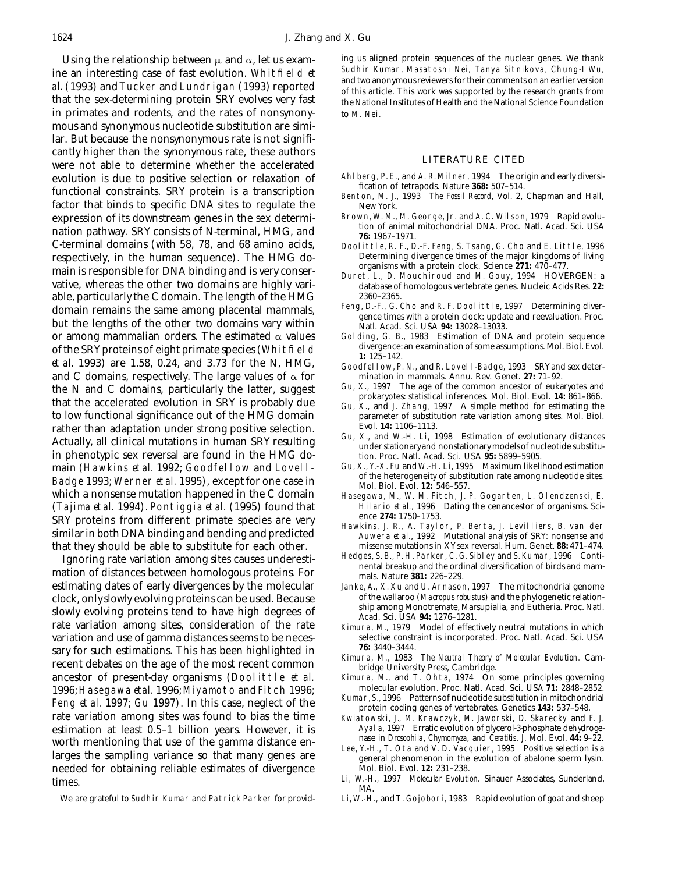Using the relationship between  $\mu$  and  $\alpha$ , let us exam-<br>o an interesting case of fast evolution Whit field at Sudhir Kumar, Masatoshi Nei, Tanya Sitnikova, Chung-I Wu ine an interesting case of fast evolution. Whitfield *et*<br>al. (1993) and Tucker and Lundrigan (1993) reported<br>of this article. This work was supported by the research grants from that the sex-determining protein SRY evolves very fast the National Institutes of Health and the National Science Foundation in primates and rodents, and the rates of nonsynony-<br>to M. Nei. mous and synonymous nucleotide substitution are similar. But because the nonsynonymous rate is not significantly higher than the synonymous rate, these authors<br>
were not able to determine whether the accelerated<br>
evolution is due to positive selection or relaxation of Ahlberg, P.E., and A. R. Milner, 1994 The origin and early evolution is due to positive selection or relaxation of Ahlberg, P.E., and A. R. Milner, 1994 The origin and early diversi-<br>functional constraints. SRY protein is a transcription<br>factor that binds to specific DNA sites to factor that binds to specific DNA sites to regulate the New York.<br>
Records of its downstream genes in the sex determi-Brown, W. M., M. George, Jr. and A. C. Wilson, 1979 Rapidevoluexpression of its downstream genes in the sex determi-<br>mation pathway SDV consists of M tanningl, HMC, and tion of animal mitochondrial DNA. Proc. Natl. Acad. Sci. USA nation pathway. SRY consists of N-terminal, HMG, and **1967–1971.**<br>C-terminal domains (with 58, 78, and 68 amino acids, **1967–1971.** 1967–1971. respectively, in the human sequence). The HMG do-<br>main is respectively for DNA binding and is very conser organisms with a protein clock. Science 271: 470–477. organisms with a protein clock. Science **271:** 470–477. main is responsible for DNA binding and is very conser-<br>Duret, L., D. Mouchiroud and M. Gouy, 1994 HOVERGEN: a vative, whereas the other two domains are highly vari-<br>
able. particularly the C domain. The length of the HMG 2360-2365. able, particularly the C domain. The length of the HMG domain remains the same among placental mammals, Feng, D.-F., G. Cho and R. F. Doolittle, 1997 Determining diver-<br>but the lengths of the other two domains vary within Natl. Acad. Sci. USA 94: 13028-13033. or among mammalian orders. The estimated  $\alpha$  values Golding, G. B., 1983 Estimation of DNA and protein sequence<br>of the SRV proteins of eight primate species (Whit field designations: divergence: an examination of some as of the SRY proteins of eight primate species (Whitfield<br> *et al.* 1993) are 1.58, 0.24, and 3.73 for the N, HMG,<br>
and C domains, respectively. The large values of  $\alpha$  for mination in mammals. Annu. Rev. Genet. 27: 71–92. and C domains, respectively. The large values of  $\alpha$  for mination in mammals. Annu. Rev. Genet. **27:** 71–92.<br>
the N and C domains, particularly the latter suggest Gu, X., 1997. The age of the common ancestor of eukaryote the N and C domains, particularly the latter, suggest<br>that the accelerated evolution in SRY is probably due<br>to low functional significance out of the HMG domain<br>that the accelerated evolution in SRY is probably due<br>to low to low functional significance out of the HMG domain rather than adaptation under strong positive selection.<br>Actually, all clinical mutations in human SRY resulting<br>in phenotypic sex reversal are found in the HMG do-<br>in Proc. Natl. Acad. Sci. USA 95: 5899-5905. in phenotypic sex reversal are found in the HMG domain (Hawkins *et al.* 1992; Goodfellow and Lovell- Gu, X., Y.-X. Fu and W.-H. Li, 1995 Maximum likelihood estimation<br>Podge 1002: Wenner *et al.* 1905), except for one case in of the heterogeneity of substitution rate amon **Badge 1993; Werner** *et al.* **1995), except for one case in** Mol. Biol. Evol. **12:** 546–557.<br>Which a nonsense mutation happened in the C domain Hasegawa. M., W. M. Fitch. J. J (Tajima *et al.* 1994). Pontiggia *et al.* (1995) found that Hilario *et al.*, 1996 Dating the cenancestor of organisms. Sci-SRY proteins from different primate species are very<br>similar in both DNA binding and bending and predicted<br>Auwera *et al.*, 1992 Mutational analysis of SRY: nonsense and that they should be able to substitute for each other. missense mutations in XY sex reversal. Hum. Genet. **88:** 471–474.

Ignoring rate variation among sites causes underesti-<br>mation of distances between homologous proteins. For<br>estimating dates of early divergences by the molecular Janke, A., X. Xu and U. Arnason, 1997 The mitochondrial geno clock, only slowly evolving proteins can be used. Because of the wallaroo (*Macropus robustus*) and the phylogenetic relation-<br>slowly evolving proteins tend to have high degrees of acad. Sci. USA **94:** 1276-1281. rate variation among sites, consideration of the rate Kimura, M., 1979 Model of effectively neutral mutations in which<br>variation and use of gamma distances seems to be neces-selective constraint is incorporated. Proc. Natl variation and use of gamma distances seems to be neces-<br>selective constraint is incorporated. Proc. Natl. Acad. Acad. Acad. 2008-3444. sary for such estimations. This has been highlighted in<br>recent debates on the age of the most recent common<br>ancestor of present-day organisms (Doolittle *et al.* Kimura, M., and T. Ohta, 1974 On some principles governing ancestor of present-day organisms (Doolittle *et al.* Kimura, M., and T. Ohta, 1974 On some principles governing<br>1996: Hasegawa *et al* 1996: Mivamoto and Fitch 1996: molecular evolution. Proc. Natl. Acad. Sci. USA 71: 284 1996; Hasegawa *et al.* 1996; Miyamoto and Fitch 1996; and the molecular evolution. Proc. Natl. Acad. Sci. USA 71: 2848-2852.<br>
Feng *et al.* 1997; Gu 1997). In this case, neglect of the Kumar, S., 1996 Patterns of nucleoti rate variation among sites was found to bias the time Kwiatowski, J., M. Krawczyk, M. Jaworski, D. Skarecky and F. J. estimation at least 0.5–1 billion years. However, it is Ayala, 1997 Erratic evolution of glycerol-3-phosphate dehydroge-<br>worth montioning that use of the gamma distance on asses in *Drosophila, Chymomyza*, and Ceratitis. J worth mentioning that use of the gamma distance en-<br>larges the sampling variance so that many genes are<br>needed for obtaining reliable estimates of divergence<br>metal phenomenon in the evolution of abalone sperm lysin.<br>Mol. B needed for obtaining reliable estimates of divergence

- 
- 
- 
- Doolittle, R. F., D.-F. Feng, S. Tsang, G. Cho and E. Little, 1996<br>Determining divergence times of the major kingdoms of living
- 
- 
- 
- 
- 
- 
- 
- 
- Hasegawa, M., W. M. Fitch, J. P. Gogarten, L. Olendzenski, E.
- 
- 
- Janke, A., X. Xu and U. Arnason, 1997 The mitochondrial genome<br>of the wallaroo (*Macropus robustus*) and the phylogenetic relation-
- 
- 
- 
- 
- 
- 
- times.<br>Li, W.-H., 1997 *Molecular Evolution.* Sinauer Associates, Sunderland,<br>We are grateful to Sudhir Kumar and Patrick Parker for provid-<br>Li, W.-H., and T. Gojobori, 1983 Rapid evolution of goat and sheep
	- Li, W.-H., and T. Gojobori, 1983 Rapid evolution of goat and sheep